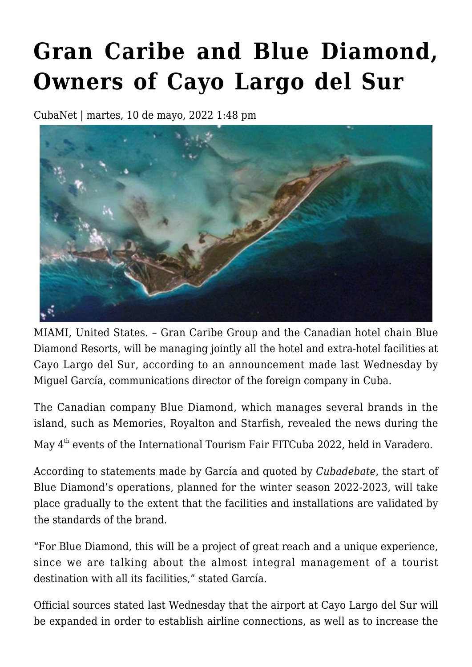## **[Gran Caribe and Blue Diamond,](https://www.cubanet.org/english/gran-caribe-and-blue-diamond-owners-of-cayo-largo-del-sur/) [Owners of Cayo Largo del Sur](https://www.cubanet.org/english/gran-caribe-and-blue-diamond-owners-of-cayo-largo-del-sur/)**

CubaNet | martes, 10 de mayo, 2022 1:48 pm



MIAMI, United States. – Gran Caribe Group and the Canadian hotel chain Blue Diamond Resorts, will be managing jointly all the hotel and extra-hotel facilities at Cayo Largo del Sur, according to an announcement made last Wednesday by Miguel García, communications director of the foreign company in Cuba.

The Canadian company Blue Diamond, which manages several brands in the island, such as Memories, Royalton and Starfish, revealed the news during the

May 4<sup>th</sup> events of the International Tourism Fair FITCuba 2022, held in Varadero.

According to statements made by García and quoted by *Cubadebate*, the start of Blue Diamond's operations, planned for the winter season 2022-2023, will take place gradually to the extent that the facilities and installations are validated by the standards of the brand.

"For Blue Diamond, this will be a project of great reach and a unique experience, since we are talking about the almost integral management of a tourist destination with all its facilities," stated García.

Official sources stated last Wednesday that the airport at Cayo Largo del Sur will be expanded in order to establish airline connections, as well as to increase the